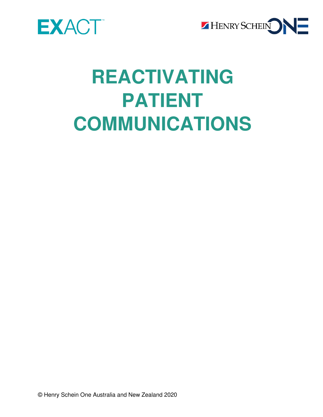



# **REACTIVATING PATIENT COMMUNICATIONS**

© Henry Schein One Australia and New Zealand 2020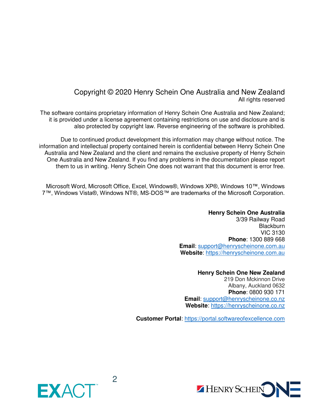#### Copyright © 2020 Henry Schein One Australia and New Zealand All rights reserved

The software contains proprietary information of Henry Schein One Australia and New Zealand; it is provided under a license agreement containing restrictions on use and disclosure and is also protected by copyright law. Reverse engineering of the software is prohibited.

Due to continued product development this information may change without notice. The information and intellectual property contained herein is confidential between Henry Schein One Australia and New Zealand and the client and remains the exclusive property of Henry Schein One Australia and New Zealand. If you find any problems in the documentation please report them to us in writing. Henry Schein One does not warrant that this document is error free.

Microsoft Word, Microsoft Office, Excel, Windows®, Windows XP®, Windows 10™, Windows 7™, Windows Vista®, Windows NT®, MS-DOS™ are trademarks of the Microsoft Corporation.

#### **Henry Schein One Australia**  3/39 Railway Road **Blackburn** VIC 3130 **Phone**: 1300 889 668 **Email**: [support@henryscheinone.com.](mailto:support@henryscheinone.com)au **Website**: [https://henryscheinone.com.au](https://henryscheinone.com.au/)

#### **Henry Schein One New Zealand**  219 Don Mckinnon Drive Albany, Auckland 0632 **Phone**: 0800 930 171 **Email**: [support@henryscheinone.co.nz](mailto:support@henryscheinone.co.nz)  **Website**: [https://henryscheinone.co.nz](https://henryscheinone.co.nz/)

**Customer Portal**: [https://portal.softwareofexcellence.com](https://portal.softwareofexcellence.com/)



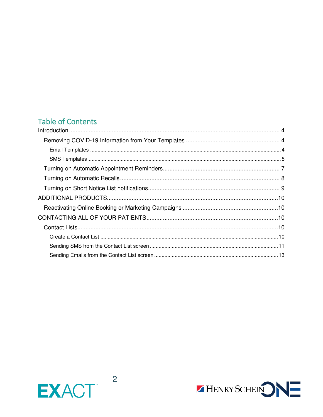# **Table of Contents**

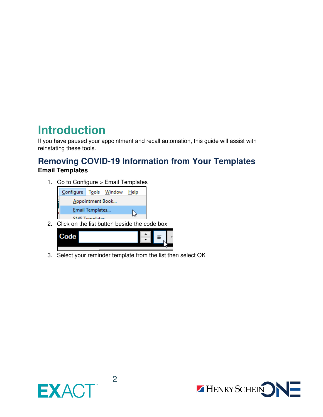# <span id="page-3-0"></span>**Introduction**

If you have paused your appointment and recall automation, this guide will assist with reinstating these tools.

# <span id="page-3-1"></span>**Removing COVID-19 Information from Your Templates**

### <span id="page-3-2"></span>**Email Templates**

1. Go to Configure > Email Templates



2. Click on the list button beside the code box



3. Select your reminder template from the list then select OK



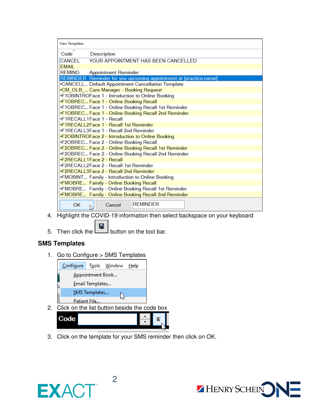| <b>View Templates</b>     |                                                                                                            |
|---------------------------|------------------------------------------------------------------------------------------------------------|
| $Code^{\hat{}}$           | <b>Description</b>                                                                                         |
| CANCEL                    | YOUR APPOINTMENT HAS BEEN CANCELLED                                                                        |
| <b>EMAIL</b>              |                                                                                                            |
| <b>REMIND</b>             | <b>Appointment Reminder</b>                                                                                |
|                           | REMINDER Reminder for you upcoming appointment at [practice.name]                                          |
|                           | .CANCELL Default Appointment Cancellation Template                                                         |
|                           | .CM_OLB_ Care Manager - Booking Request                                                                    |
|                           | •F1OBINTROFace 1 - Introduction to Online Booking                                                          |
|                           | •F1OBREC Face 1 - Online Booking Recall                                                                    |
|                           | •F1OBREC Face 1 - Online Booking Recall 1st Reminder                                                       |
|                           | •F1OBREC Face 1 - Online Booking Recall 2nd Reminder                                                       |
| •F1RECALL1Face 1 - Recall |                                                                                                            |
|                           | •F1RECALL2Face 1 - Recall 1st Reminder                                                                     |
|                           | .F1RECALL3Face 1 - Recall 2nd Reminder                                                                     |
|                           | •F2OBINTROFace 2 - Introduction to Online Booking                                                          |
|                           | •F2OBREC Face 2 - Online Booking Recall                                                                    |
|                           | •F2OBREC Face 2 - Online Booking Recall 1st Reminder                                                       |
|                           | •F2OBREC Face 2 - Online Booking Recall 2nd Reminder                                                       |
| .F2RECALL1Face 2 - Recall |                                                                                                            |
|                           | •F2RECALL2Face 2 - Recall 1st Reminder                                                                     |
|                           | •F2RECALL3Face 2 - Recall 2nd Reminder                                                                     |
|                           | .FMOBINT Family - Introduction to Online Booking                                                           |
|                           | •FMOBRE Family - Online Booking Recall                                                                     |
|                           | .FMOBRE Family - Online Booking Recall 1st Reminder<br>.FMOBRE Family - Online Booking Recall 2nd Reminder |
|                           |                                                                                                            |
| OK<br>чS                  | <b>REMINDER</b><br>Cancel                                                                                  |

- 4. Highlight the COVID-19 information then select backspace on your keyboard
- 5. Then click the **button** on the tool bar.

#### <span id="page-4-0"></span>**SMS Templates**

1. Go to Configure > SMS Templates



2. Click on the list button beside the code box

| - | 亖 |
|---|---|
|   |   |
|   |   |

3. Click on the template for your SMS reminder then click on OK.



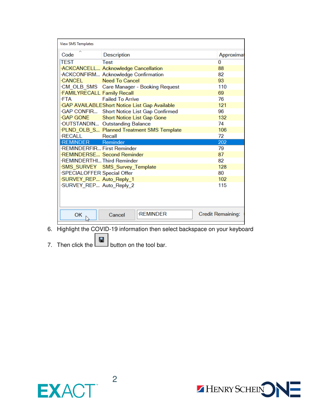| <b>View SMS Templates</b>         |                                                     |                          |
|-----------------------------------|-----------------------------------------------------|--------------------------|
| Code                              | <b>Description</b>                                  | Approximat               |
| TEST                              | <b>Test</b>                                         | 0                        |
|                                   | ACKCANCELL Acknowledge Cancellation                 | 88                       |
|                                   | ·ACKCONFIRM Acknowledge Confirmation                | 82                       |
| <b>CANCEL</b>                     | Need To Cancel                                      | 93                       |
|                                   | ·CM_OLB_SMS    Care Manager - Booking Request       | 110                      |
| <b>FAMILYRECALL Family Recall</b> |                                                     | 69                       |
| ∙FTA                              | <b>Failed To Arrive</b>                             | 76                       |
|                                   | <b>GAP AVAILABLEShort Notice List Gap Available</b> | 121                      |
|                                   | GAP CONFIR Short Notice List Gap Confirmed          | 96                       |
|                                   | GAP GONE Short Notice List Gap Gone                 | 132                      |
|                                   | OUTSTANDIN Outstanding Balance                      | 74                       |
|                                   | PLND_OLB_S Planned Treatment SMS Template           | 106                      |
| RECALL Recall                     |                                                     | 72                       |
| ·REMINDER Reminder                |                                                     | 202                      |
| ·REMINDERFIR First Reminder       |                                                     | 79                       |
|                                   | <b>REMINDERSE Second Reminder</b>                   | 87                       |
| ·REMINDERTHI Third Reminder       |                                                     | 82                       |
|                                   | ·SMS_SURVEY SMS_Survey_Template                     | 128                      |
| SPECIALOFFER Special Offer        |                                                     | 80                       |
| ·SURVEY_REP Auto_Reply_1          |                                                     | 102                      |
| SURVEY_REP Auto_Reply_2           |                                                     | 115                      |
|                                   |                                                     |                          |
| ОК                                | <b>REMINDER</b><br>Cancel                           | <b>Credit Remaining:</b> |

- 6. Highlight the COVID-19 information then select backspace on your keyboard
- 7. Then click the button on the tool bar.



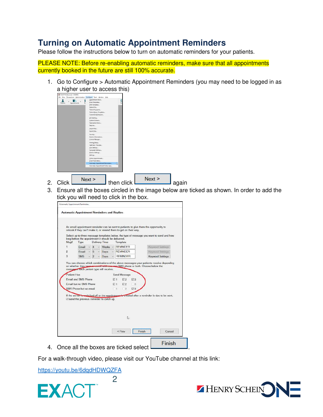# <span id="page-6-0"></span>**Turning on Automatic Appointment Reminders**

Please follow the instructions below to turn on automatic reminders for your patients.

PLEASE NOTE: Before re-enabling automatic reminders, make sure that all appointments currently booked in the future are still 100% accurate.

1. Go to Configure > Automatic Appointment Reminders (you may need to be logged in as a higher user to access this)



- 
- 3. Ensure all the boxes circled in the image below are ticked as shown. In order to add the tick you will need to click in the box.

|                | Automatic Appointment Reminders and Replies                            |    |                |               |                                                                                                                                                                                                                                                        |            |                                                                                         |
|----------------|------------------------------------------------------------------------|----|----------------|---------------|--------------------------------------------------------------------------------------------------------------------------------------------------------------------------------------------------------------------------------------------------------|------------|-----------------------------------------------------------------------------------------|
|                | long before the appointment it should be delivered.                    |    |                |               | An email appointment reminder can be sent to patients to give them the opportunity to<br>rebook if they can't make it, or remind them to get on their way.<br>Select up to three message templates below, the type of message you want to send and how |            |                                                                                         |
| Msa#           | <b>Type</b>                                                            |    |                | Delivery Time | Template                                                                                                                                                                                                                                               |            |                                                                                         |
| $\mathbf{1}$   | Fmail                                                                  |    | $\vert$ 4      |               | $\vee$ Weeks $\vee$ REMINDER                                                                                                                                                                                                                           |            | Keyword Settings                                                                        |
| $\overline{2}$ | Email                                                                  | Ŵ. | $5^{\circ}$    | $\vee$ Days   | - REMINDER                                                                                                                                                                                                                                             |            | Knyword Settings                                                                        |
| $\alpha$       | <b>SMS</b>                                                             |    | $\overline{2}$ | Days          | - REMINDER                                                                                                                                                                                                                                             |            | <b>Keyword Settings</b>                                                                 |
|                | messages each patient type will receive.<br><b>Email and SMS Phone</b> |    |                |               | on whether they have an empitted dress, and SMS phone or both. Choose below the<br>Send Message<br>$\nabla 1$ $\nabla 2$                                                                                                                               | ■3         | You can choose which combinations of the above messages your patients receive depending |
| Patient Has    | Email but no SMS Phone                                                 |    |                |               | $\nabla$ 1<br>F2                                                                                                                                                                                                                                       | $\sqrt{3}$ |                                                                                         |
|                | SMS Phone but no email                                                 |    |                |               | $-1$ $-2$                                                                                                                                                                                                                                              | $\nabla 3$ |                                                                                         |
|                |                                                                        |    |                |               | If the server is quitched off or the appointment is created after a reminder is due to be sent,                                                                                                                                                        |            |                                                                                         |
|                | $\mathbb Z$ send the previous reminder to catch up.                    |    |                |               |                                                                                                                                                                                                                                                        |            |                                                                                         |
|                |                                                                        |    |                |               | ↳                                                                                                                                                                                                                                                      |            |                                                                                         |

4. Once all the boxes are ticked select  $\Box$ 

2

For a walk-through video, please visit our YouTube channel at this link:

<https://youtu.be/6dqdHDWQZFA>



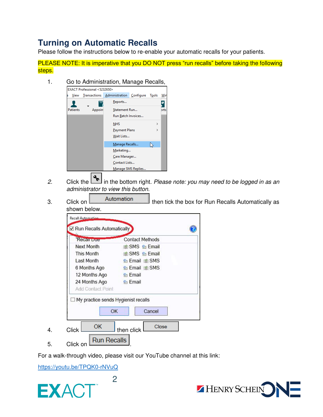# <span id="page-7-0"></span>**Turning on Automatic Recalls**

Please follow the instructions below to re-enable your automatic recalls for your patients.

PLEASE NOTE: It is imperative that you DO NOT press "run recalls" before taking the following steps.



- *2.* Click the in the bottom right. *Please note: you may need to be logged in as an administrator to view this button.*
- 3. Click on **Automation** then tick the box for Run Recalls Automatically as shown below.

| <b>Recair Due</b>                           | <b>Contact Methods</b>    |
|---------------------------------------------|---------------------------|
| Next Month                                  | (d) SMS & Email           |
| This Month                                  | <b>di SMS &amp; Email</b> |
| Last Month                                  | B Email ● SMS             |
| 6 Months Ago                                | <b>Se Email</b> (a) SMS   |
| 12 Months Ago                               | <b>&amp;</b> Email        |
| 24 Months Ago<br>Add Contact Point          | <b>B</b> Email            |
| □ My practice sends Hygienist recalls<br>OK | Cancel                    |

For a walk-through video, please visit our YouTube channel at this link:

2

<https://youtu.be/TPQK0-rNVuQ>



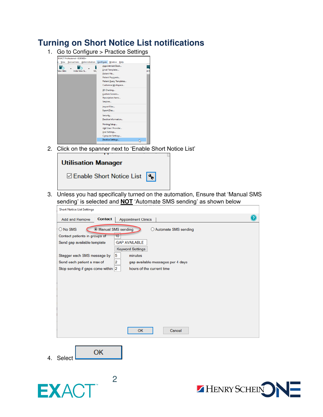### <span id="page-8-0"></span>**Turning on Short Notice List notifications**

1. Go to Configure  $>$  Practice Settings



2. Click on the spanner next to 'Enable Short Notice List'



3. Unless you had specifically turned on the automation, Ensure that 'Manual SMS sending' is selected and **NOT** 'Automate SMS sending' as shown below

| <b>Add and Remove</b>              | <b>Contact</b>            | <b>Appointment Clinics</b>             |                        |  |
|------------------------------------|---------------------------|----------------------------------------|------------------------|--|
| $\bigcirc$ No SMS                  | <b>Manual SMS</b> sending |                                        | ◯ Automate SMS sending |  |
| Contact patients in groups of      |                           | 10                                     |                        |  |
| Send gap available template        |                           | <b>GAP AVAILABLE</b>                   |                        |  |
|                                    |                           | <b>Keyword Settings</b>                |                        |  |
| Stagger each SMS message by        |                           | 5<br>minutes                           |                        |  |
| Send each patient a max of         |                           | 2<br>gap available messages per 4 days |                        |  |
| Stop sending if gaps come within 2 |                           | hours of the current time              |                        |  |
|                                    |                           |                                        |                        |  |
|                                    |                           |                                        |                        |  |
|                                    |                           |                                        |                        |  |
|                                    |                           |                                        |                        |  |
|                                    |                           |                                        |                        |  |
|                                    |                           |                                        |                        |  |
|                                    |                           |                                        |                        |  |
|                                    |                           |                                        |                        |  |
|                                    |                           | <b>OK</b>                              | Cancel                 |  |
|                                    |                           |                                        |                        |  |
|                                    | OK                        |                                        |                        |  |
| Select                             |                           |                                        |                        |  |
|                                    |                           |                                        |                        |  |
|                                    |                           |                                        |                        |  |
|                                    |                           | 2                                      |                        |  |



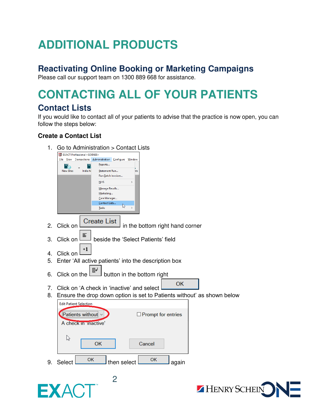# <span id="page-9-0"></span>**ADDITIONAL PRODUCTS**

# <span id="page-9-1"></span>**Reactivating Online Booking or Marketing Campaigns**

Please call our support team on 1300 889 668 for assistance.

# <span id="page-9-2"></span>**CONTACTING ALL OF YOUR PATIENTS**

# <span id="page-9-3"></span>**Contact Lists**

If you would like to contact all of your patients to advise that the practice is now open, you can follow the steps below:

### <span id="page-9-4"></span>**Create a Contact List**





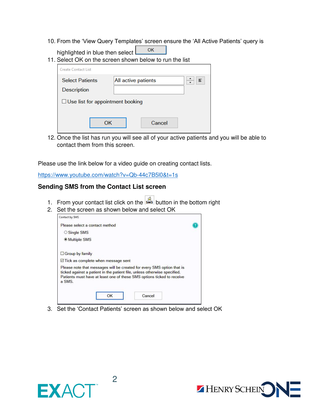10. From the 'View Query Templates' screen ensure the 'All Active Patients' query is

| highlighted in blue then select         | OK<br>11. Select OK on the screen shown below to run the list |   |
|-----------------------------------------|---------------------------------------------------------------|---|
| <b>Create Contact List</b>              |                                                               |   |
| <b>Select Patients</b><br>Description   | All active patients                                           | 言 |
| $\Box$ Use list for appointment booking |                                                               |   |
| ΩK                                      | Cancel                                                        |   |

12. Once the list has run you will see all of your active patients and you will be able to contact them from this screen.

Please use the link below for a video guide on creating contact lists.

<https://www.youtube.com/watch?v=Qb-44c7B5l0&t=1s>

#### <span id="page-10-0"></span>**Sending SMS from the Contact List screen**

- 1. From your contact list click on the sust button in the bottom right
- 2. Set the screen as shown below and select OK

| Please select a contact method                                                                                                                                                                                                          |  |
|-----------------------------------------------------------------------------------------------------------------------------------------------------------------------------------------------------------------------------------------|--|
| ○ Single SMS                                                                                                                                                                                                                            |  |
| <b>Multiple SMS</b>                                                                                                                                                                                                                     |  |
| $\Box$ Group by family                                                                                                                                                                                                                  |  |
| $\boxdot$ Tick as complete when message sent                                                                                                                                                                                            |  |
| Please note that messages will be created for every SMS option that is<br>ticked against a patient in the patient file, unless otherwise specified.<br>Patients must have at least one of these SMS options ticked to receive<br>a SMS. |  |
| Cancel                                                                                                                                                                                                                                  |  |

3. Set the 'Contact Patients' screen as shown below and select OK



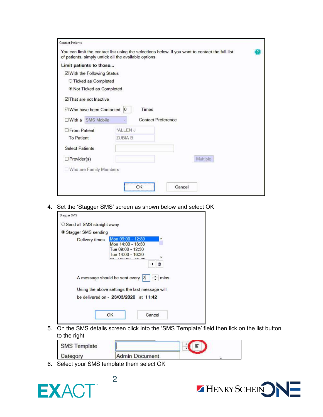| <b>Contact Patients</b>         |                                                                                                                                                         |  |
|---------------------------------|---------------------------------------------------------------------------------------------------------------------------------------------------------|--|
|                                 | You can limit the contact list using the selections below. If you want to contact the full list<br>of patients, simply untick all the available options |  |
| Limit patients to those         |                                                                                                                                                         |  |
| ⊠ With the Following Status     |                                                                                                                                                         |  |
| ○ Ticked as Completed           |                                                                                                                                                         |  |
| ● Not Ticked as Completed       |                                                                                                                                                         |  |
| $\boxdot$ That are not Inactive |                                                                                                                                                         |  |
| ☑ Who have been Contacted       | Times<br>10                                                                                                                                             |  |
| □ With a SMS Mobile             | <b>Contact Preference</b>                                                                                                                               |  |
| □ From Patient                  | *ALLEN J                                                                                                                                                |  |
| <b>To Patient</b>               | <b>ZUBIA B</b>                                                                                                                                          |  |
| <b>Select Patients</b>          |                                                                                                                                                         |  |
| $\Box$ Provider(s)              | Multiple                                                                                                                                                |  |
| Who are Family Members          |                                                                                                                                                         |  |
|                                 |                                                                                                                                                         |  |
|                                 | OK<br>Cancel                                                                                                                                            |  |
|                                 |                                                                                                                                                         |  |

4. Set the 'Stagger SMS' screen as shown below and select OK

| Stagger SMS                  |                                                                                                                      |       |
|------------------------------|----------------------------------------------------------------------------------------------------------------------|-------|
| ○ Send all SMS straight away |                                                                                                                      |       |
| ● Stagger SMS sending        |                                                                                                                      |       |
| Delivery times               | Mon 09:00 - 12:30<br>Mon 14:00 - 16:30<br>Tue 09:00 - 12:30<br>Tue 14:00 - 16:30<br>40.00<br>$M_{1}$ $00.00$<br>$+1$ | ۸     |
|                              | A message should be sent every<br>13                                                                                 | mins. |
|                              |                                                                                                                      |       |
|                              | Using the above settings the last message will<br>be delivered on - 23/03/2020 at 11:42                              |       |

5. On the SMS details screen click into the 'SMS Template' field then lick on the list button to the right

| <b>SMS Template</b> |                       |  |  |
|---------------------|-----------------------|--|--|
| Category            | <b>Admin Document</b> |  |  |

6. Select your SMS template them select OK

2



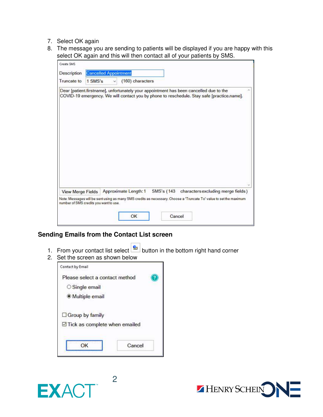- 7. Select OK again
- 8. The message you are sending to patients will be displayed if you are happy with this select OK again and this will then contact all of your patients by SMS.

| Description | <b>Cancelled Appointment</b> |  |                  |  |  |                                                                                                                                                                                      |  |
|-------------|------------------------------|--|------------------|--|--|--------------------------------------------------------------------------------------------------------------------------------------------------------------------------------------|--|
| Truncate to | 1 SMS's                      |  | (160) characters |  |  |                                                                                                                                                                                      |  |
|             |                              |  |                  |  |  | Dear [patient.firstname], unfortunately your appointment has been cancelled due to the<br>COVID-19 emergency. We will contact you by phone to reschedule. Stay safe [practice.name]. |  |
|             |                              |  |                  |  |  |                                                                                                                                                                                      |  |

#### <span id="page-12-0"></span>**Sending Emails from the Contact List screen**

- 1. From your contact list select  $\boxed{\triangleq}$  button in the bottom right hand corner
- 2. Set the screen as shown below



2